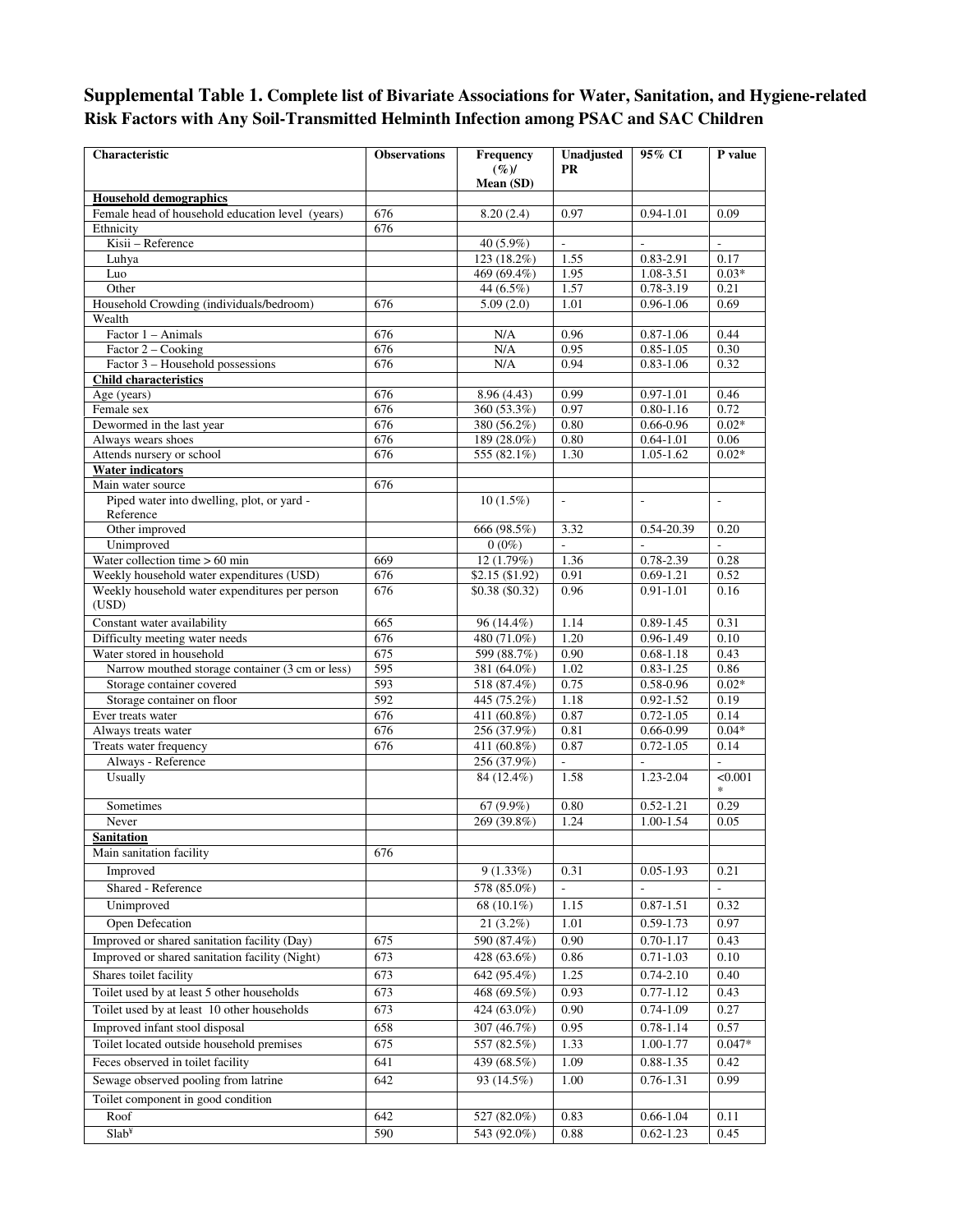## **Supplemental Table 1. Complete list of Bivariate Associations for Water, Sanitation, and Hygiene-related Risk Factors with Any Soil-Transmitted Helminth Infection among PSAC and SAC Children**

| Characteristic                                          | <b>Observations</b> | Frequency                  | Unadjusted               | 95% CI                         | P value                  |
|---------------------------------------------------------|---------------------|----------------------------|--------------------------|--------------------------------|--------------------------|
|                                                         |                     | $(\%)$                     | PR                       |                                |                          |
| <b>Household demographics</b>                           |                     | Mean (SD)                  |                          |                                |                          |
| Female head of household education level (years)        | 676                 | 8.20(2.4)                  | 0.97                     | 0.94-1.01                      | 0.09                     |
| Ethnicity                                               | 676                 |                            |                          |                                |                          |
| Kisii - Reference                                       |                     | 40 (5.9%)                  |                          |                                |                          |
| Luhya                                                   |                     | 123 (18.2%)                | 1.55                     | 0.83-2.91                      | 0.17                     |
| Luo                                                     |                     | 469 (69.4%)                | 1.95                     | 1.08-3.51                      | $0.03*$                  |
| Other<br>Household Crowding (individuals/bedroom)       | 676                 | 44 (6.5%)<br>5.09(2.0)     | 1.57<br>1.01             | $0.78 - 3.19$<br>0.96-1.06     | 0.21<br>0.69             |
| Wealth                                                  |                     |                            |                          |                                |                          |
| Factor 1 - Animals                                      | 676                 | N/A                        | 0.96                     | $0.87 - 1.06$                  | 0.44                     |
| Factor 2 - Cooking                                      | 676                 | N/A                        | 0.95                     | $0.85 - 1.05$                  | 0.30                     |
| Factor 3 – Household possessions                        | 676                 | N/A                        | 0.94                     | $0.83 - 1.06$                  | 0.32                     |
| <b>Child characteristics</b>                            |                     |                            |                          |                                |                          |
| Age (years)                                             | 676                 | 8.96 (4.43)                | 0.99                     | $0.97 - 1.01$                  | 0.46                     |
| Female sex                                              | 676                 | 360 (53.3%)                | 0.97                     | $0.80 - 1.16$                  | 0.72                     |
| Dewormed in the last year                               | 676                 | 380 (56.2%)                | 0.80                     | $0.66 - 0.96$                  | $0.02*$                  |
| Always wears shoes<br>Attends nursery or school         | 676<br>676          | 189 (28.0%)<br>555 (82.1%) | 0.80<br>1.30             | $0.64 - 1.01$<br>$1.05 - 1.62$ | 0.06<br>$0.02*$          |
| <b>Water indicators</b>                                 |                     |                            |                          |                                |                          |
| Main water source                                       | 676                 |                            |                          |                                |                          |
| Piped water into dwelling, plot, or yard -              |                     | $10(1.5\%)$                | $\overline{\phantom{a}}$ | $\overline{\phantom{a}}$       | $\overline{\phantom{a}}$ |
| Reference                                               |                     |                            |                          |                                |                          |
| Other improved                                          |                     | 666 (98.5%)                | 3.32                     | 0.54-20.39                     | 0.20                     |
| Unimproved                                              |                     | $0(0\%)$                   | ÷.                       |                                |                          |
| Water collection time $> 60$ min                        | 669                 | 12 (1.79%)                 | 1.36                     | 0.78-2.39                      | 0.28                     |
| Weekly household water expenditures (USD)               | 676                 | \$2.15(\$1.92)             | 0.91                     | $0.69 - 1.21$                  | 0.52                     |
| Weekly household water expenditures per person<br>(USD) | 676                 | $$0.38 \ ($0.32)$          | 0.96                     | $0.91 - 1.01$                  | 0.16                     |
| Constant water availability                             | 665                 | 96 (14.4%)                 | 1.14                     | 0.89-1.45                      | 0.31                     |
| Difficulty meeting water needs                          | 676                 | 480 (71.0%)                | 1.20                     | 0.96-1.49                      | 0.10                     |
| Water stored in household                               | 675                 | 599 (88.7%)                | 0.90                     | $0.68 - 1.18$                  | 0.43                     |
| Narrow mouthed storage container (3 cm or less)         | 595                 | 381 (64.0%)                | 1.02                     | $0.83 - 1.25$                  | 0.86                     |
| Storage container covered                               | 593<br>592          | 518 (87.4%)                | 0.75                     | 0.58-0.96                      | $0.02*$                  |
| Storage container on floor<br>Ever treats water         | 676                 | 445 (75.2%)<br>411 (60.8%) | 1.18<br>0.87             | $0.92 - 1.52$<br>$0.72 - 1.05$ | 0.19<br>0.14             |
| Always treats water                                     | 676                 | 256 (37.9%)                | 0.81                     | $0.66 - 0.99$                  | $0.04*$                  |
| Treats water frequency                                  | 676                 | 411 $(60.8\%)$             | 0.87                     | $0.72 - 1.05$                  | 0.14                     |
| Always - Reference                                      |                     | 256 (37.9%)                |                          |                                |                          |
| Usually                                                 |                     | 84 (12.4%)                 | 1.58                     | $1.23 - 2.04$                  | < 0.001<br>$\ast$        |
| Sometimes                                               |                     | $67(9.9\%)$                | 0.80                     | $0.52 - 1.21$                  | 0.29                     |
| Never                                                   |                     | 269 (39.8%)                | 1.24                     | 1.00-1.54                      | 0.05                     |
| Sanitation                                              |                     |                            |                          |                                |                          |
| Main sanitation facility                                | 676                 |                            |                          |                                |                          |
| Improved                                                |                     | $9(1.33\%)$                | 0.31                     | $0.05 - 1.93$                  | 0.21                     |
| Shared - Reference                                      |                     | 578 (85.0%)                |                          |                                |                          |
| Unimproved                                              |                     | $68(10.1\%)$               | 1.15                     | 0.87-1.51                      | 0.32                     |
| <b>Open Defecation</b>                                  |                     | 21 (3.2%)                  | 1.01                     | $0.59 - 1.73$                  | 0.97                     |
| Improved or shared sanitation facility (Day)            | 675                 | 590 (87.4%)                | 0.90                     | $0.70 - 1.17$                  | 0.43                     |
| Improved or shared sanitation facility (Night)          | 673                 | 428 (63.6%)                | 0.86                     | $0.71 - 1.03$                  | 0.10                     |
| Shares toilet facility                                  | 673                 | 642 (95.4%)                | 1.25                     | $0.74 - 2.10$                  | 0.40                     |
| Toilet used by at least 5 other households              | 673                 | 468 (69.5%)                | 0.93                     | $0.77 - 1.12$                  | 0.43                     |
| Toilet used by at least 10 other households             | 673                 | 424 (63.0%)                | 0.90                     | $0.74 - 1.09$                  | 0.27                     |
| Improved infant stool disposal                          |                     | 307 (46.7%)                | 0.95                     | $0.78 - 1.14$                  |                          |
| Toilet located outside household premises               | 658                 |                            | 1.33                     |                                | 0.57<br>$0.047*$         |
|                                                         | 675                 | 557 (82.5%)                |                          | 1.00-1.77                      |                          |
| Feces observed in toilet facility                       | 641                 | 439 (68.5%)                | 1.09                     | 0.88-1.35                      | 0.42                     |
| Sewage observed pooling from latrine                    | 642                 | 93 (14.5%)                 | 1.00                     | 0.76-1.31                      | 0.99                     |
| Toilet component in good condition                      |                     |                            |                          |                                |                          |
| Roof                                                    | 642                 | 527 (82.0%)                | 0.83                     | $0.66 - 1.04$                  | 0.11                     |
| Slab <sup>Y</sup>                                       | 590                 | 543 (92.0%)                | 0.88                     | $0.62 - 1.23$                  | 0.45                     |